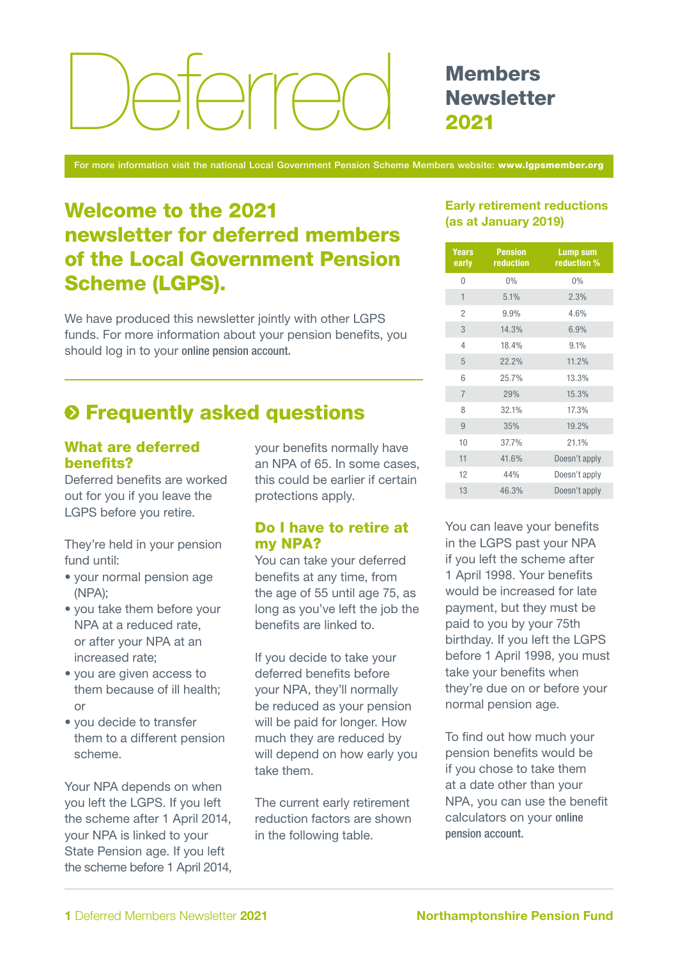# Deferred Members

# **Newsletter** 2021

For more information visit the national Local Government Pension Scheme Members website: www.lgpsmember.org

# Welcome to the 2021 newsletter for deferred members of the Local Government Pension Scheme (LGPS).

We have produced this newsletter jointly with other LGPS funds. For more information about your pension benefits, you should log in to your [online pension account.](https://lgssmember.pensiondetails.co.uk/home/login/index2.html)

# $\odot$  **Frequently asked questions**

#### What are deferred benefits?

Deferred benefits are worked out for you if you leave the LGPS before you retire.

They're held in your pension fund until:

- your normal pension age (NPA);
- you take them before your NPA at a reduced rate, or after your NPA at an increased rate;
- you are given access to them because of ill health; or
- you decide to transfer them to a different pension scheme.

Your NPA depends on when you left the LGPS. If you left the scheme after 1 April 2014, your NPA is linked to your State Pension age. If you left the scheme before 1 April 2014, your benefits normally have an NPA of 65. In some cases, this could be earlier if certain protections apply.

#### Do I have to retire at my NPA?

You can take your deferred benefits at any time, from the age of 55 until age 75, as long as you've left the job the benefits are linked to.

If you decide to take your deferred benefits before your NPA, they'll normally be reduced as your pension will be paid for longer. How much they are reduced by will depend on how early you take them.

The current early retirement reduction factors are shown in the following table.

#### Early retirement reductions (as at January 2019)

| <b>Years</b><br>early | <b>Pension</b><br>reduction | <b>Lump sum</b><br>reduction % |
|-----------------------|-----------------------------|--------------------------------|
| 0                     | 0%                          | 0%                             |
| 1                     | 5.1%                        | 2.3%                           |
| $\overline{2}$        | 9.9%                        | 4.6%                           |
| 3                     | 14.3%                       | 6.9%                           |
| 4                     | 18.4%                       | 9.1%                           |
| 5                     | 22.2%                       | 11.2%                          |
| 6                     | 25.7%                       | 13.3%                          |
| $\overline{7}$        | 29%                         | 15.3%                          |
| 8                     | 32.1%                       | 17.3%                          |
| 9                     | 35%                         | 19.2%                          |
| 10                    | 37.7%                       | 21.1%                          |
| 11                    | 41.6%                       | Doesn't apply                  |
| 12                    | 44%                         | Doesn't apply                  |
| 13                    | 46.3%                       | Doesn't apply                  |

You can leave your benefits in the LGPS past your NPA if you left the scheme after 1 April 1998. Your benefits would be increased for late payment, but they must be paid to you by your 75th birthday. If you left the LGPS before 1 April 1998, you must take your benefits when they're due on or before your normal pension age.

To find out how much your pension benefits would be if you chose to take them at a date other than your NPA, you can use the benefit calculators on your [online](https://lgssmember.pensiondetails.co.uk/home/login/index2.html)  [pension account.](https://lgssmember.pensiondetails.co.uk/home/login/index2.html)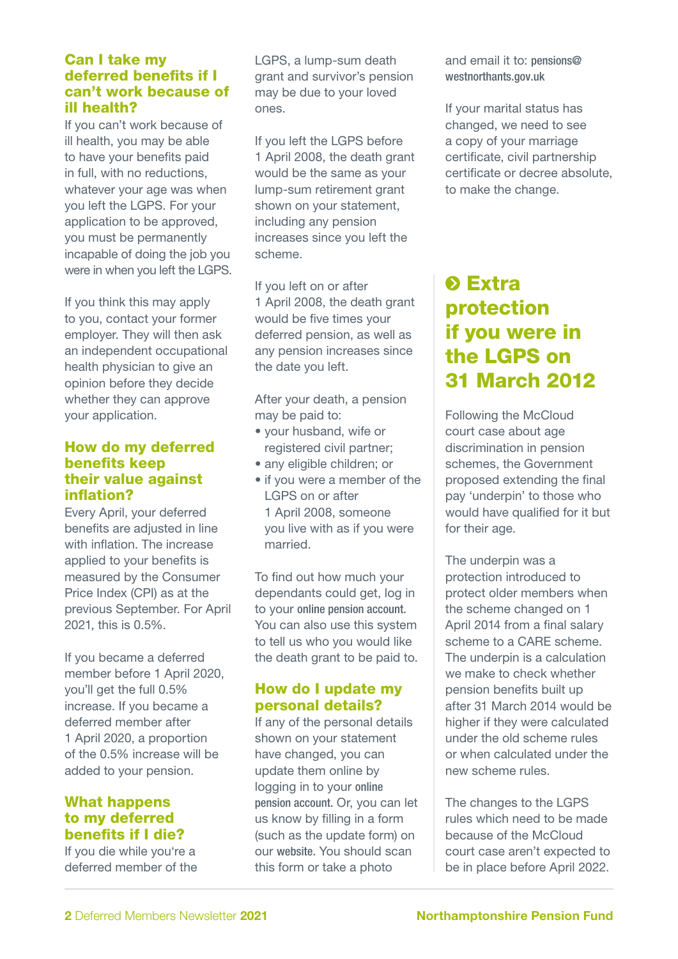#### Can I take my deferred benefits if I can't work because of ill health?

If you can't work because of ill health, you may be able to have your benefits paid in full, with no reductions, whatever your age was when you left the LGPS. For your application to be approved, you must be permanently incapable of doing the job you were in when you left the LGPS.

If you think this may apply to you, contact your former employer. They will then ask an independent occupational health physician to give an opinion before they decide whether they can approve your application.

#### How do my deferred benefits keep their value against inflation?

Every April, your deferred benefits are adjusted in line with inflation. The increase applied to your benefits is measured by the Consumer Price Index (CPI) as at the previous September. For April 2021, this is 0.5%.

If you became a deferred member before 1 April 2020, you'll get the full 0.5% increase. If you became a deferred member after 1 April 2020, a proportion of the 0.5% increase will be added to your pension.

#### What happens to my deferred benefits if I die?

If you die while you're a deferred member of the LGPS, a lump-sum death grant and survivor's pension may be due to your loved ones.

If you left the LGPS before 1 April 2008, the death grant would be the same as your lump-sum retirement grant shown on your statement, including any pension increases since you left the scheme.

If you left on or after 1 April 2008, the death grant would be five times your deferred pension, as well as any pension increases since the date you left.

After your death, a pension may be paid to:

- your husband, wife or registered civil partner;
- any eligible children; or
- if you were a member of the LGPS on or after 1 April 2008, someone you live with as if you were married.

To find out how much your dependants could get, log in to your [online pension account.](https://lgssmember.pensiondetails.co.uk/home/login/index2.html) You can also use this system to tell us who you would like the death grant to be paid to.

#### How do I update my personal details?

If any of the personal details shown on your statement have changed, you can update them online by logging in to your [online](https://lgssmember.pensiondetails.co.uk/home/login/index2.html)  [pension account.](https://lgssmember.pensiondetails.co.uk/home/login/index2.html) Or, you can let us know by filling in a form (such as the update form) on our [website.](https://lgssmember.pensiondetails.co.uk/home/members/lgps/deferred-members/forms-and-resources/index.html) You should scan this form or take a photo

and email it to: pensions@ westnorthants.gov.u[k](mailto:pensions%40westnorthants.gov.uk?subject=)

If your marital status has changed, we need to see a copy of your marriage certificate, civil partnership certificate or decree absolute, to make the change.

# **O** Extra protection if you were in the LGPS on 31 March 2012

Following the McCloud court case about age discrimination in pension schemes, the Government proposed extending the final pay 'underpin' to those who would have qualified for it but for their age.

The underpin was a protection introduced to protect older members when the scheme changed on 1 April 2014 from a final salary scheme to a CARE scheme. The underpin is a calculation we make to check whether pension benefits built up after 31 March 2014 would be higher if they were calculated under the old scheme rules or when calculated under the new scheme rules.

The changes to the LGPS rules which need to be made because of the McCloud court case aren't expected to be in place before April 2022.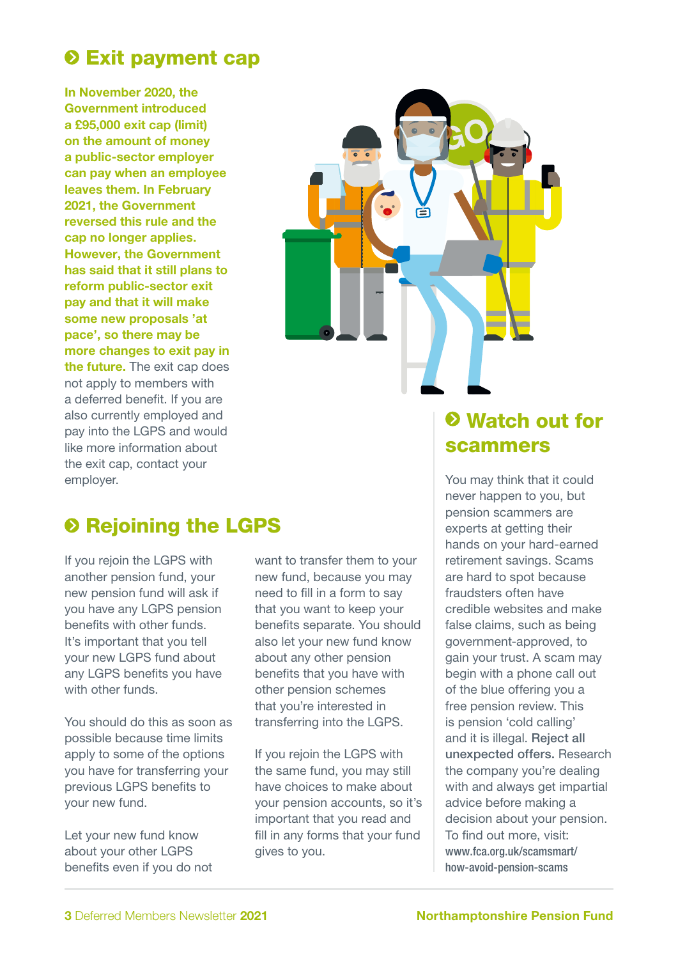# **O Exit payment cap**

In November 2020, the Government introduced a £95,000 exit cap (limit) on the amount of money a public-sector employer can pay when an employee leaves them. In February 2021, the Government reversed this rule and the cap no longer applies. However, the Government has said that it still plans to reform public-sector exit pay and that it will make some new proposals 'at pace', so there may be more changes to exit pay in the future. The exit cap does not apply to members with a deferred benefit. If you are also currently employed and pay into the LGPS and would like more information about the exit cap, contact your employer.



# **8 Rejoining the LGPS**

If you rejoin the LGPS with another pension fund, your new pension fund will ask if you have any LGPS pension benefits with other funds. It's important that you tell your new LGPS fund about any LGPS benefits you have with other funds.

You should do this as soon as possible because time limits apply to some of the options you have for transferring your previous LGPS benefits to your new fund.

Let your new fund know about your other LGPS benefits even if you do not

want to transfer them to your new fund, because you may need to fill in a form to say that you want to keep your benefits separate. You should also let your new fund know about any other pension benefits that you have with other pension schemes that you're interested in transferring into the LGPS.

If you rejoin the LGPS with the same fund, you may still have choices to make about your pension accounts, so it's important that you read and fill in any forms that your fund gives to you.

### Watch out for scammers

You may think that it could never happen to you, but pension scammers are experts at getting their hands on your hard-earned retirement savings. Scams are hard to spot because fraudsters often have credible websites and make false claims, such as being government-approved, to gain your trust. A scam may begin with a phone call out of the blue offering you a free pension review. This is pension 'cold calling' and it is illegal. Reject all unexpected offers. Research the company you're dealing with and always get impartial advice before making a decision about your pension. To find out more, visit: [www.fca.org.uk/scamsmart/](http://www.fca.org.uk/scamsmart/how-avoid-pension-scams) [how-avoid-pension-scams](http://www.fca.org.uk/scamsmart/how-avoid-pension-scams)